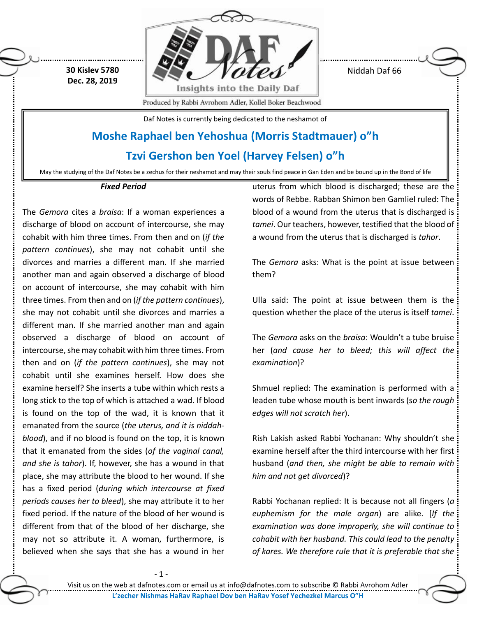**30 Kislev 5780 Dec. 28, 2019**



Niddah Daf 66

Produced by Rabbi Avrohom Adler, Kollel Boker Beachwood

Daf Notes is currently being dedicated to the neshamot of

## **Moshe Raphael ben Yehoshua (Morris Stadtmauer) o"h**

**Tzvi Gershon ben Yoel (Harvey Felsen) o"h**

May the studying of the Daf Notes be a zechus for their neshamot and may their souls find peace in Gan Eden and be bound up in the Bond of life

## *Fixed Period*

The *Gemora* cites a *braisa*: If a woman experiences a discharge of blood on account of intercourse, she may cohabit with him three times. From then and on (*if the pattern continues*), she may not cohabit until she divorces and marries a different man. If she married another man and again observed a discharge of blood on account of intercourse, she may cohabit with him three times. From then and on (*if the pattern continues*), she may not cohabit until she divorces and marries a different man. If she married another man and again observed a discharge of blood on account of intercourse, she may cohabit with him three times. From then and on (*if the pattern continues*), she may not cohabit until she examines herself. How does she examine herself? She inserts a tube within which rests a long stick to the top of which is attached a wad. If blood is found on the top of the wad, it is known that it emanated from the source (*the uterus, and it is niddahblood*), and if no blood is found on the top, it is known that it emanated from the sides (*of the vaginal canal, and she is tahor*). If, however, she has a wound in that place, she may attribute the blood to her wound. If she has a fixed period (*during which intercourse at fixed periods causes her to bleed*), she may attribute it to her fixed period. If the nature of the blood of her wound is different from that of the blood of her discharge, she may not so attribute it. A woman, furthermore, is believed when she says that she has a wound in her

uterus from which blood is discharged; these are the words of Rebbe. Rabban Shimon ben Gamliel ruled: The blood of a wound from the uterus that is discharged is *tamei*. Our teachers, however, testified that the blood of a wound from the uterus that is discharged is *tahor*.

The *Gemora* asks: What is the point at issue between them?

Ulla said: The point at issue between them is the question whether the place of the uterus is itself *tamei*.

The *Gemora* asks on the *braisa*: Wouldn't a tube bruise her (*and cause her to bleed; this will affect the examination*)?

Shmuel replied: The examination is performed with a leaden tube whose mouth is bent inwards (s*o the rough edges will not scratch her*).

Rish Lakish asked Rabbi Yochanan: Why shouldn't she examine herself after the third intercourse with her first husband (*and then, she might be able to remain with him and not get divorced*)?

Rabbi Yochanan replied: It is because not all fingers (*a euphemism for the male organ*) are alike. [*If the examination was done improperly, she will continue to cohabit with her husband. This could lead to the penalty of kares. We therefore rule that it is preferable that she*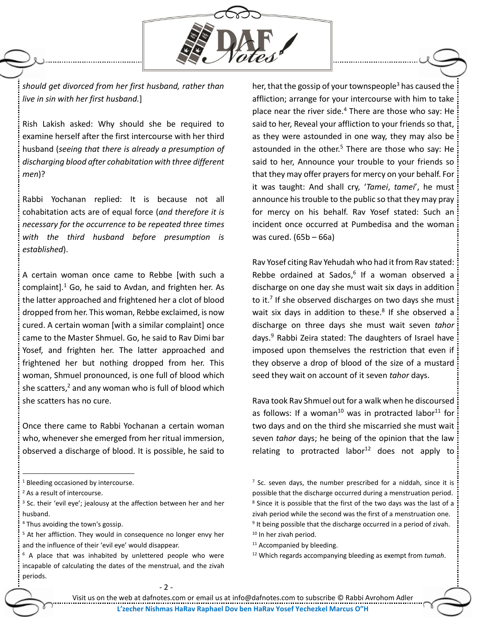

*should get divorced from her first husband, rather than live in sin with her first husband.*]

Rish Lakish asked: Why should she be required to examine herself after the first intercourse with her third husband (*seeing that there is already a presumption of discharging blood after cohabitation with three different men*)?

Rabbi Yochanan replied: It is because not all cohabitation acts are of equal force (*and therefore it is necessary for the occurrence to be repeated three times with the third husband before presumption is established*).

A certain woman once came to Rebbe [with such a complaint]. $1\text{ Go}$ , he said to Avdan, and frighten her. As the latter approached and frightened her a clot of blood dropped from her. This woman, Rebbe exclaimed, is now cured. A certain woman [with a similar complaint] once came to the Master Shmuel. Go, he said to Rav Dimi bar Yosef, and frighten her. The latter approached and frightened her but nothing dropped from her. This woman, Shmuel pronounced, is one full of blood which she scatters, $2$  and any woman who is full of blood which she scatters has no cure.

Once there came to Rabbi Yochanan a certain woman who, whenever she emerged from her ritual immersion, observed a discharge of blood. It is possible, he said to

 $\overline{a}$ 

<sup>4</sup> Thus avoiding the town's gossip.

her, that the gossip of your townspeople<sup>3</sup> has caused the affliction; arrange for your intercourse with him to take place near the river side. $4$  There are those who say: He said to her, Reveal your affliction to your friends so that, as they were astounded in one way, they may also be astounded in the other.<sup>5</sup> There are those who say: He said to her, Announce your trouble to your friends so that they may offer prayers for mercy on your behalf. For it was taught: And shall cry, '*Tamei*, *tamei*', he must announce his trouble to the public so that they may pray for mercy on his behalf. Rav Yosef stated: Such an incident once occurred at Pumbedisa and the woman was cured. (65b – 66a)

Rav Yosef citing Rav Yehudah who had it from Rav stated: Rebbe ordained at Sados, 6 If a woman observed a discharge on one day she must wait six days in addition to it.<sup>7</sup> If she observed discharges on two days she must wait six days in addition to these.<sup>8</sup> If she observed a discharge on three days she must wait seven *tahor* days.<sup>9</sup> Rabbi Zeira stated: The daughters of Israel have imposed upon themselves the restriction that even if they observe a drop of blood of the size of a mustard seed they wait on account of it seven *tahor* days.

Rava took Rav Shmuel out for a walk when he discoursed as follows: If a woman<sup>10</sup> was in protracted labor<sup>11</sup> for two days and on the third she miscarried she must wait seven *tahor* days; he being of the opinion that the law relating to protracted labor<sup>12</sup> does not apply to

<sup>&</sup>lt;sup>1</sup> Bleeding occasioned by intercourse.

<sup>&</sup>lt;sup>2</sup> As a result of intercourse.

<sup>&</sup>lt;sup>3</sup> Sc. their 'evil eye'; jealousy at the affection between her and her husband.

<sup>&</sup>lt;sup>5</sup> At her affliction. They would in consequence no longer envy her and the influence of their 'evil eye' would disappear.

 $6$  A place that was inhabited by unlettered people who were incapable of calculating the dates of the menstrual, and the zivah periods.

 $<sup>7</sup>$  Sc. seven days, the number prescribed for a niddah, since it is</sup> possible that the discharge occurred during a menstruation period. <sup>8</sup> Since it is possible that the first of the two days was the last of a zivah period while the second was the first of a menstruation one. <sup>9</sup> It being possible that the discharge occurred in a period of zivah. <sup>10</sup> In her zivah period.

<sup>&</sup>lt;sup>11</sup> Accompanied by bleeding.

<sup>12</sup> Which regards accompanying bleeding as exempt from *tumah*.

<sup>-</sup> 2 -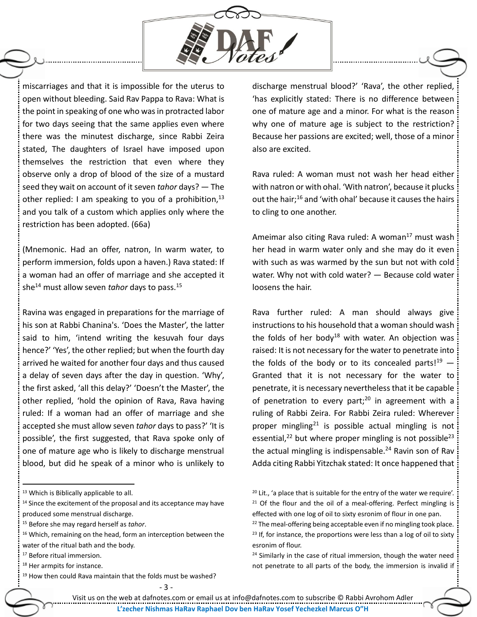

miscarriages and that it is impossible for the uterus to open without bleeding. Said Rav Pappa to Rava: What is the point in speaking of one who was in protracted labor for two days seeing that the same applies even where there was the minutest discharge, since Rabbi Zeira stated, The daughters of Israel have imposed upon themselves the restriction that even where they observe only a drop of blood of the size of a mustard seed they wait on account of it seven *tahor* days? — The other replied: I am speaking to you of a prohibition,  $13$ and you talk of a custom which applies only where the restriction has been adopted. (66a)

(Mnemonic. Had an offer, natron, In warm water, to perform immersion, folds upon a haven.) Rava stated: If a woman had an offer of marriage and she accepted it she<sup>14</sup> must allow seven *tahor* days to pass.<sup>15</sup>

Ravina was engaged in preparations for the marriage of his son at Rabbi Chanina's. 'Does the Master', the latter said to him, 'intend writing the kesuvah four days hence?' 'Yes', the other replied; but when the fourth day arrived he waited for another four days and thus caused a delay of seven days after the day in question. 'Why', the first asked, 'all this delay?' 'Doesn't the Master', the other replied, 'hold the opinion of Rava, Rava having ruled: If a woman had an offer of marriage and she accepted she must allow seven *tahor* days to pass?' 'It is possible', the first suggested, that Rava spoke only of one of mature age who is likely to discharge menstrual blood, but did he speak of a minor who is unlikely to

<sup>15</sup> Before she may regard herself as *tahor*.

 $\overline{a}$ 

discharge menstrual blood?' 'Rava', the other replied, 'has explicitly stated: There is no difference between one of mature age and a minor. For what is the reason why one of mature age is subject to the restriction? Because her passions are excited; well, those of a minor also are excited.

Rava ruled: A woman must not wash her head either with natron or with ohal. 'With natron', because it plucks out the hair;<sup>16</sup> and 'with ohal' because it causes the hairs to cling to one another.

Ameimar also citing Rava ruled: A woman<sup>17</sup> must wash her head in warm water only and she may do it even with such as was warmed by the sun but not with cold water. Why not with cold water? — Because cold water loosens the hair.

Rava further ruled: A man should always give instructions to his household that a woman should wash the folds of her body<sup>18</sup> with water. An objection was raised: It is not necessary for the water to penetrate into the folds of the body or to its concealed parts! $19 -$ Granted that it is not necessary for the water to penetrate, it is necessary nevertheless that it be capable of penetration to every part;<sup>20</sup> in agreement with a ruling of Rabbi Zeira. For Rabbi Zeira ruled: Wherever proper mingling<sup>21</sup> is possible actual mingling is not essential,<sup>22</sup> but where proper mingling is not possible<sup>23</sup> the actual mingling is indispensable.<sup>24</sup> Ravin son of Rav Adda citing Rabbi Yitzchak stated: It once happened that

<sup>13</sup> Which is Biblically applicable to all.

<sup>&</sup>lt;sup>14</sup> Since the excitement of the proposal and its acceptance may have produced some menstrual discharge.

<sup>&</sup>lt;sup>16</sup> Which, remaining on the head, form an interception between the water of the ritual bath and the body.

<sup>17</sup> Before ritual immersion.

<sup>18</sup> Her armpits for instance.

 $19$  How then could Rava maintain that the folds must be washed?

<sup>&</sup>lt;sup>20</sup> Lit., 'a place that is suitable for the entry of the water we require'.  $21$  Of the flour and the oil of a meal-offering. Perfect mingling is effected with one log of oil to sixty esronim of flour in one pan.

 $22$  The meal-offering being acceptable even if no mingling took place.  $23$  If, for instance, the proportions were less than a log of oil to sixty esronim of flour.

 $24$  Similarly in the case of ritual immersion, though the water need not penetrate to all parts of the body, the immersion is invalid if